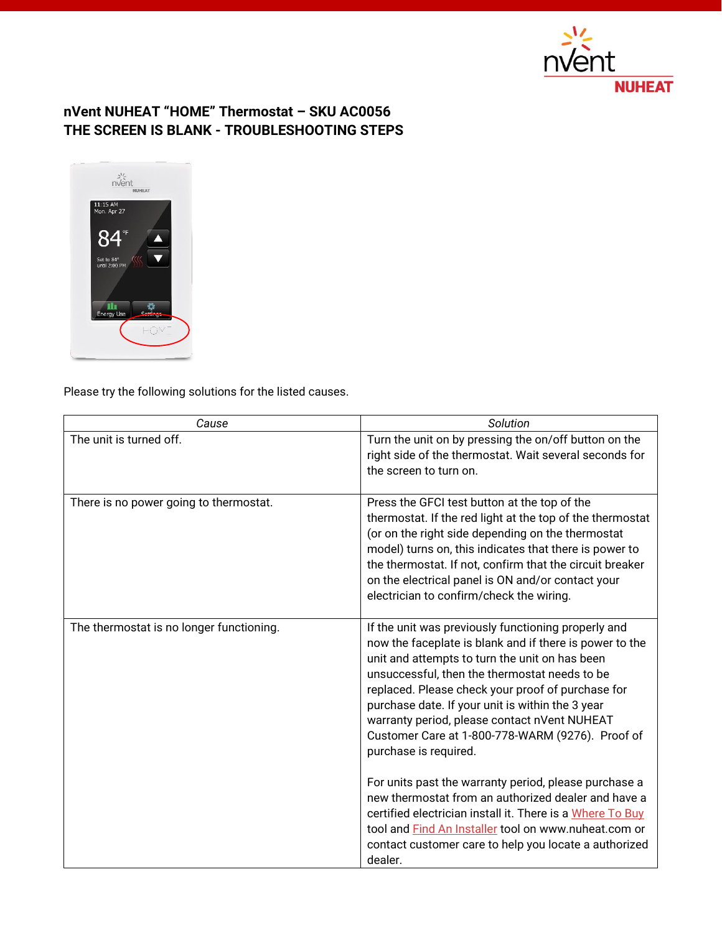

## **nVent NUHEAT "HOME" Thermostat – SKU AC0056 THE SCREEN IS BLANK - TROUBLESHOOTING STEPS**



Please try the following solutions for the listed causes.

| Cause                                    | Solution                                                                                                                                                                                                                                                                                                                                                                                                                                                                                                                                                                                                                                                                                                                                                         |
|------------------------------------------|------------------------------------------------------------------------------------------------------------------------------------------------------------------------------------------------------------------------------------------------------------------------------------------------------------------------------------------------------------------------------------------------------------------------------------------------------------------------------------------------------------------------------------------------------------------------------------------------------------------------------------------------------------------------------------------------------------------------------------------------------------------|
| The unit is turned off.                  | Turn the unit on by pressing the on/off button on the<br>right side of the thermostat. Wait several seconds for<br>the screen to turn on.                                                                                                                                                                                                                                                                                                                                                                                                                                                                                                                                                                                                                        |
| There is no power going to thermostat.   | Press the GFCI test button at the top of the<br>thermostat. If the red light at the top of the thermostat<br>(or on the right side depending on the thermostat<br>model) turns on, this indicates that there is power to<br>the thermostat. If not, confirm that the circuit breaker<br>on the electrical panel is ON and/or contact your<br>electrician to confirm/check the wiring.                                                                                                                                                                                                                                                                                                                                                                            |
| The thermostat is no longer functioning. | If the unit was previously functioning properly and<br>now the faceplate is blank and if there is power to the<br>unit and attempts to turn the unit on has been<br>unsuccessful, then the thermostat needs to be<br>replaced. Please check your proof of purchase for<br>purchase date. If your unit is within the 3 year<br>warranty period, please contact nVent NUHEAT<br>Customer Care at 1-800-778-WARM (9276). Proof of<br>purchase is required.<br>For units past the warranty period, please purchase a<br>new thermostat from an authorized dealer and have a<br>certified electrician install it. There is a Where To Buy<br>tool and Find An Installer tool on www.nuheat.com or<br>contact customer care to help you locate a authorized<br>dealer. |